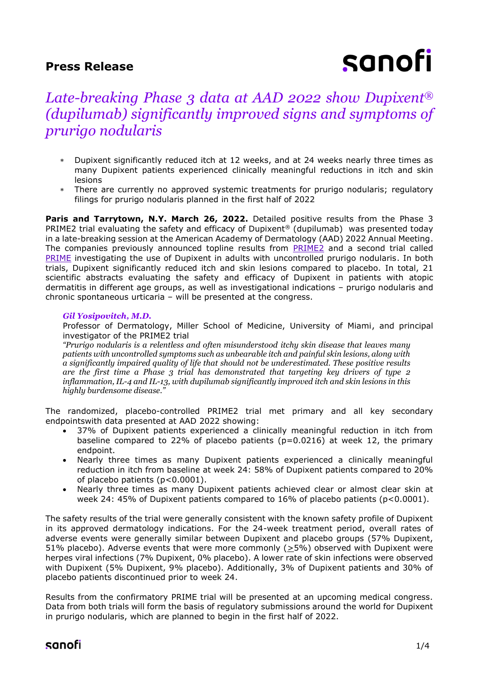### **Press Release**

# sanofi

# *Late-breaking Phase 3 data at AAD 2022 show Dupixent® (dupilumab) significantly improved signs and symptoms of prurigo nodularis*

- Dupixent significantly reduced itch at 12 weeks, and at 24 weeks nearly three times as many Dupixent patients experienced clinically meaningful reductions in itch and skin lesions
- There are currently no approved systemic treatments for prurigo nodularis; regulatory filings for prurigo nodularis planned in the first half of 2022

**Paris and Tarrytown, N.Y. March 26, 2022.** Detailed positive results from the Phase 3 PRIME2 trial evaluating the safety and efficacy of Dupixent® (dupilumab) was presented today in a late-breaking session at the American Academy of Dermatology (AAD) 2022 Annual Meeting. The companies previously announced topline results from **PRIME2** and a second trial called [PRIME](https://www.sanofi.com/en/media-room/press-releases/2022/2022-01-19-07-00-00-2368986) investigating the use of Dupixent in adults with uncontrolled prurigo nodularis. In both trials, Dupixent significantly reduced itch and skin lesions compared to placebo. In total, 21 scientific abstracts evaluating the safety and efficacy of Dupixent in patients with atopic dermatitis in different age groups, as well as investigational indications – prurigo nodularis and chronic spontaneous urticaria – will be presented at the congress.

#### *Gil Yosipovitch, M.D.*

Professor of Dermatology, Miller School of Medicine, University of Miami, and principal investigator of the PRIME2 trial

*"Prurigo nodularis is a relentless and often misunderstood itchy skin disease that leaves many patients with uncontrolled symptoms such as unbearable itch and painful skin lesions, along with a significantly impaired quality of life that should not be underestimated. These positive results are the first time a Phase 3 trial has demonstrated that targeting key drivers of type 2 inflammation, IL-4 and IL-13, with dupilumab significantly improved itch and skin lesions in this highly burdensome disease."*

The randomized, placebo-controlled PRIME2 trial met primary and all key secondary endpointswith data presented at AAD 2022 showing:

- 37% of Dupixent patients experienced a clinically meaningful reduction in itch from baseline compared to 22% of placebo patients (p=0.0216) at week 12, the primary endpoint.
- Nearly three times as many Dupixent patients experienced a clinically meaningful reduction in itch from baseline at week 24: 58% of Dupixent patients compared to 20% of placebo patients (p<0.0001).
- Nearly three times as many Dupixent patients achieved clear or almost clear skin at week 24: 45% of Dupixent patients compared to 16% of placebo patients (p<0.0001).

The safety results of the trial were generally consistent with the known safety profile of Dupixent in its approved dermatology indications. For the 24-week treatment period, overall rates of adverse events were generally similar between Dupixent and placebo groups (57% Dupixent, 51% placebo). Adverse events that were more commonly (>5%) observed with Dupixent were herpes viral infections (7% Dupixent, 0% placebo). A lower rate of skin infections were observed with Dupixent (5% Dupixent, 9% placebo). Additionally, 3% of Dupixent patients and 30% of placebo patients discontinued prior to week 24.

Results from the confirmatory PRIME trial will be presented at an upcoming medical congress. Data from both trials will form the basis of regulatory submissions around the world for Dupixent in prurigo nodularis, which are planned to begin in the first half of 2022.

## sanofi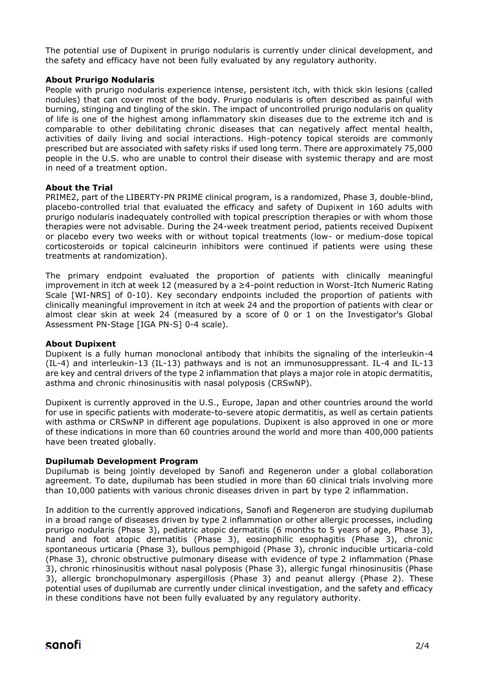The potential use of Dupixent in prurigo nodularis is currently under clinical development, and the safety and efficacy have not been fully evaluated by any regulatory authority.

#### **About Prurigo Nodularis**

People with prurigo nodularis experience intense, persistent itch, with thick skin lesions (called nodules) that can cover most of the body. Prurigo nodularis is often described as painful with burning, stinging and tingling of the skin. The impact of uncontrolled prurigo nodularis on quality of life is one of the highest among inflammatory skin diseases due to the extreme itch and is comparable to other debilitating chronic diseases that can negatively affect mental health, activities of daily living and social interactions. High-potency topical steroids are commonly prescribed but are associated with safety risks if used long term. There are approximately 75,000 people in the U.S. who are unable to control their disease with systemic therapy and are most in need of a treatment option.

#### **About the Trial**

PRIME2, part of the LIBERTY-PN PRIME clinical program, is a randomized, Phase 3, double-blind, placebo-controlled trial that evaluated the efficacy and safety of Dupixent in 160 adults with prurigo nodularis inadequately controlled with topical prescription therapies or with whom those therapies were not advisable. During the 24-week treatment period, patients received Dupixent or placebo every two weeks with or without topical treatments (low- or medium-dose topical corticosteroids or topical calcineurin inhibitors were continued if patients were using these treatments at randomization).

The primary endpoint evaluated the proportion of patients with clinically meaningful improvement in itch at week 12 (measured by a ≥4-point reduction in Worst-Itch Numeric Rating Scale [WI-NRS] of 0-10). Key secondary endpoints included the proportion of patients with clinically meaningful improvement in itch at week 24 and the proportion of patients with clear or almost clear skin at week 24 (measured by a score of 0 or 1 on the Investigator's Global Assessment PN-Stage [IGA PN-S] 0-4 scale).

#### **About Dupixent**

Dupixent is a fully human monoclonal antibody that inhibits the signaling of the interleukin-4 (IL-4) and interleukin-13 (IL-13) pathways and is not an immunosuppressant. IL-4 and IL-13 are key and central drivers of the type 2 inflammation that plays a major role in atopic dermatitis, asthma and chronic rhinosinusitis with nasal polyposis (CRSwNP).

Dupixent is currently approved in the U.S., Europe, Japan and other countries around the world for use in specific patients with moderate-to-severe atopic dermatitis, as well as certain patients with asthma or CRSwNP in different age populations. Dupixent is also approved in one or more of these indications in more than 60 countries around the world and more than 400,000 patients have been treated globally.

#### **Dupilumab Development Program**

Dupilumab is being jointly developed by Sanofi and Regeneron under a global collaboration agreement. To date, dupilumab has been studied in more than 60 clinical trials involving more than 10,000 patients with various chronic diseases driven in part by type 2 inflammation.

In addition to the currently approved indications, Sanofi and Regeneron are studying dupilumab in a broad range of diseases driven by type 2 inflammation or other allergic processes, including prurigo nodularis (Phase 3), pediatric atopic dermatitis (6 months to 5 years of age, Phase 3), hand and foot atopic dermatitis (Phase 3), eosinophilic esophagitis (Phase 3), chronic spontaneous urticaria (Phase 3), bullous pemphigoid (Phase 3), chronic inducible urticaria-cold (Phase 3), chronic obstructive pulmonary disease with evidence of type 2 inflammation (Phase 3), chronic rhinosinusitis without nasal polyposis (Phase 3), allergic fungal rhinosinusitis (Phase 3), allergic bronchopulmonary aspergillosis (Phase 3) and peanut allergy (Phase 2). These potential uses of dupilumab are currently under clinical investigation, and the safety and efficacy in these conditions have not been fully evaluated by any regulatory authority.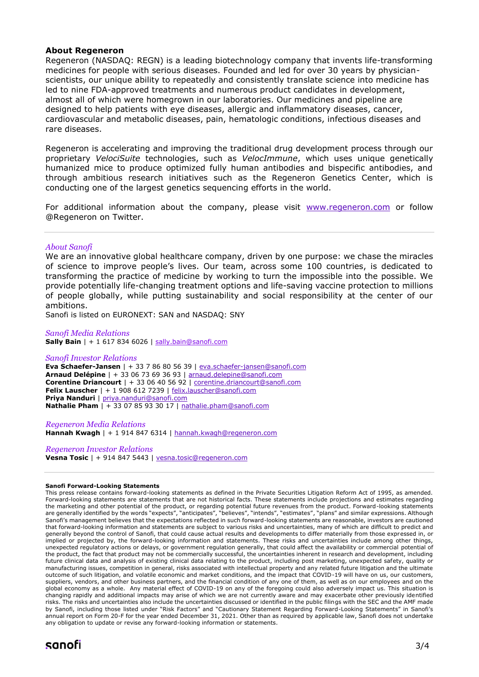#### **About Regeneron**

Regeneron (NASDAQ: REGN) is a leading biotechnology company that invents life-transforming medicines for people with serious diseases. Founded and led for over 30 years by physicianscientists, our unique ability to repeatedly and consistently translate science into medicine has led to nine FDA-approved treatments and numerous product candidates in development, almost all of which were homegrown in our laboratories. Our medicines and pipeline are designed to help patients with eye diseases, allergic and inflammatory diseases, cancer, cardiovascular and metabolic diseases, pain, hematologic conditions, infectious diseases and rare diseases.

Regeneron is accelerating and improving the traditional drug development process through our proprietary *VelociSuite* technologies, such as *VelocImmune*, which uses unique genetically humanized mice to produce optimized fully human antibodies and bispecific antibodies, and through ambitious research initiatives such as the Regeneron Genetics Center, which is conducting one of the largest genetics sequencing efforts in the world.

For additional information about the company, please visit [www.regeneron.com](http://www.regeneron.com/) or follow @Regeneron on Twitter.

#### *About Sanofi*

We are an innovative global healthcare company, driven by one purpose: we chase the miracles of science to improve people's lives. Our team, across some 100 countries, is dedicated to transforming the practice of medicine by working to turn the impossible into the possible. We provide potentially life-changing treatment options and life-saving vaccine protection to millions of people globally, while putting sustainability and social responsibility at the center of our ambitions.

Sanofi is listed on EURONEXT: SAN and NASDAQ: SNY

*Sanofi Media Relations* **Sally Bain** | + 1 617 834 6026 | [sally.bain@sanofi.com](mailto:sally.bain@sanofi.com)

#### *Sanofi Investor Relations*

**Eva Schaefer-Jansen** | + 33 7 86 80 56 39 | [eva.schaefer-jansen@sanofi.com](mailto:eva.schaefer-jansen@sanofi.com) **Arnaud Delépine** | + 33 06 73 69 36 93 | [arnaud.delepine@sanofi.com](mailto:arnaud.delepine@sanofi.com) **Corentine Driancourt** | + 33 06 40 56 92 | [corentine.driancourt@sanofi.com](mailto:corentine.driancourt@sanofi.com) **Felix Lauscher** | + 1 908 612 7239 | [felix.lauscher@sanofi.com](mailto:felix.lauscher@sanofi.com) **Priya Nanduri** | [priya.nanduri@sanofi.com](mailto:priya.nanduri@sanofi.com) **Nathalie Pham** | + 33 07 85 93 30 17 | [nathalie.pham@sanofi.com](mailto:nathalie.pham@sanofi.com)

*Regeneron Media Relations* **Hannah Kwagh** | + 1 914 847 6314 [| hannah.kwagh@regeneron.com](mailto:hannah.kwagh@regeneron.com)

*Regeneron Investor Relations* **Vesna Tosic** | + 914 847 5443 | [vesna.tosic@regeneron.com](mailto:vesna.tosic@regeneron.com)

#### **Sanofi Forward-Looking Statements**

This press release contains forward-looking statements as defined in the Private Securities Litigation Reform Act of 1995, as amended. Forward-looking statements are statements that are not historical facts. These statements include projections and estimates regarding the marketing and other potential of the product, or regarding potential future revenues from the product. Forward-looking statements are generally identified by the words "expects", "anticipates", "believes", "intends", "estimates", "plans" and similar expressions. Although Sanofi's management believes that the expectations reflected in such forward-looking statements are reasonable, investors are cautioned that forward-looking information and statements are subject to various risks and uncertainties, many of which are difficult to predict and generally beyond the control of Sanofi, that could cause actual results and developments to differ materially from those expressed in, or implied or projected by, the forward-looking information and statements. These risks and uncertainties include among other things, unexpected regulatory actions or delays, or government regulation generally, that could affect the availability or commercial potential of the product, the fact that product may not be commercially successful, the uncertainties inherent in research and development, including future clinical data and analysis of existing clinical data relating to the product, including post marketing, unexpected safety, quality or manufacturing issues, competition in general, risks associated with intellectual property and any related future litigation and the ultimate outcome of such litigation, and volatile economic and market conditions, and the impact that COVID-19 will have on us, our customers, suppliers, vendors, and other business partners, and the financial condition of any one of them, as well as on our employees and on the global economy as a whole. Any material effect of COVID-19 on any of the foregoing could also adversely impact us. This situation is changing rapidly and additional impacts may arise of which we are not currently aware and may exacerbate other previously identified risks. The risks and uncertainties also include the uncertainties discussed or identified in the public filings with the SEC and the AMF made by Sanofi, including those listed under "Risk Factors" and "Cautionary Statement Regarding Forward-Looking Statements" in Sanofi's annual report on Form 20-F for the year ended December 31, 2021. Other than as required by applicable law, Sanofi does not undertake any obligation to update or revise any forward-looking information or statements.